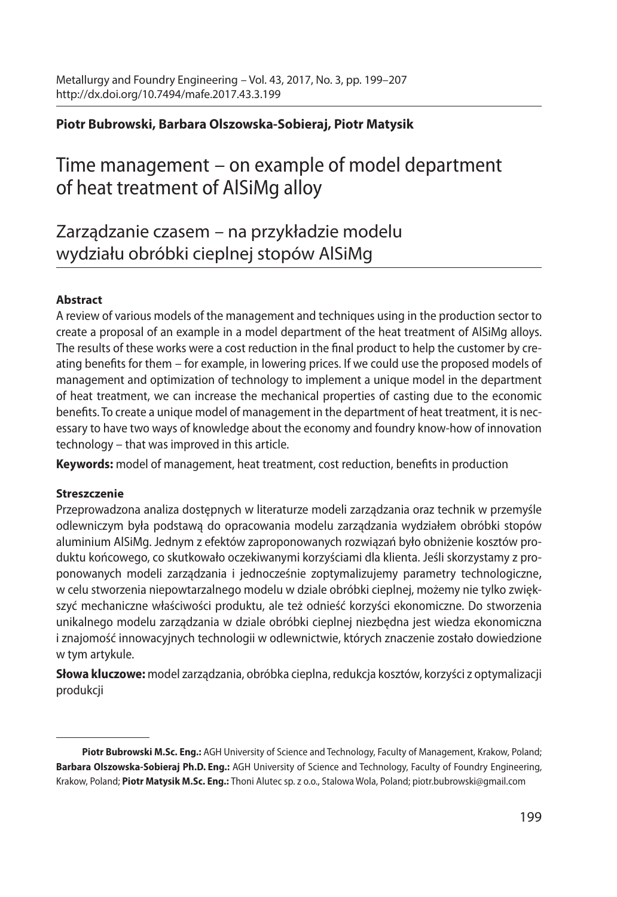### **Piotr Bubrowski, Barbara Olszowska-Sobieraj, Piotr Matysik**

# Time management – on example of model department of heat treatment of AlSiMg alloy

Zarządzanie czasem – na przykładzie modelu wydziału obróbki cieplnej stopów AlSiMg

#### **Abstract**

A review of various models of the management and techniques using in the production sector to create a proposal of an example in a model department of the heat treatment of AlSiMg alloys. The results of these works were a cost reduction in the final product to help the customer by creating benefits for them – for example, in lowering prices. If we could use the proposed models of management and optimization of technology to implement a unique model in the department of heat treatment, we can increase the mechanical properties of casting due to the economic benefits. To create a unique model of management in the department of heat treatment, it is necessary to have two ways of knowledge about the economy and foundry know-how of innovation technology – that was improved in this article.

**Keywords:** model of management, heat treatment, cost reduction, benefits in production

#### **Streszczenie**

Przeprowadzona analiza dostępnych w literaturze modeli zarządzania oraz technik w przemyśle odlewniczym była podstawą do opracowania modelu zarządzania wydziałem obróbki stopów aluminium AlSiMg. Jednym z efektów zaproponowanych rozwiązań było obniżenie kosztów produktu końcowego, co skutkowało oczekiwanymi korzyściami dla klienta. Jeśli skorzystamy z proponowanych modeli zarządzania i jednocześnie zoptymalizujemy parametry technologiczne, w celu stworzenia niepowtarzalnego modelu w dziale obróbki cieplnej, możemy nie tylko zwiększyć mechaniczne właściwości produktu, ale też odnieść korzyści ekonomiczne. Do stworzenia unikalnego modelu zarządzania w dziale obróbki cieplnej niezbędna jest wiedza ekonomiczna i znajomość innowacyjnych technologii w odlewnictwie, których znaczenie zostało dowiedzione w tym artykule.

**Słowa kluczowe:** model zarządzania, obróbka cieplna, redukcja kosztów, korzyści z optymalizacji produkcji

**Piotr Bubrowski M.Sc. Eng.:** AGH University of Science and Technology, Faculty of Management, Krakow, Poland; **Barbara Olszowska-Sobieraj Ph.D. Eng.:** AGH University of Science and Technology, Faculty of Foundry Engineering, Krakow, Poland; **Piotr Matysik M.Sc. Eng.:** Thoni Alutec sp. z o.o., Stalowa Wola, Poland; piotr.bubrowski@gmail.com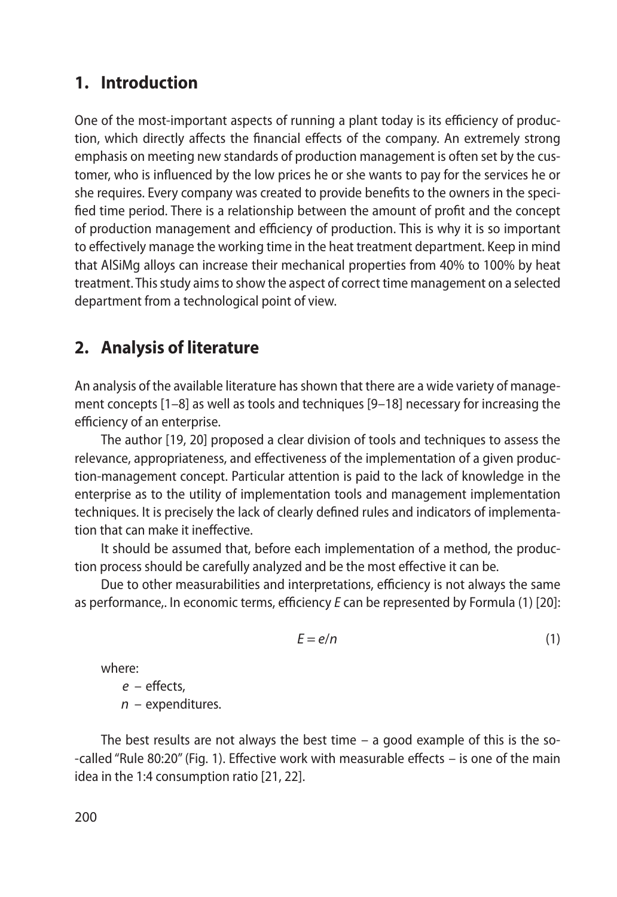## **1. Introduction**

One of the most-important aspects of running a plant today is its efficiency of production, which directly affects the financial effects of the company. An extremely strong emphasis on meeting new standards of production management is often set by the customer, who is influenced by the low prices he or she wants to pay for the services he or she requires. Every company was created to provide benefits to the owners in the specified time period. There is a relationship between the amount of profit and the concept of production management and efficiency of production. This is why it is so important to effectively manage the working time in the heat treatment department. Keep in mind that AlSiMg alloys can increase their mechanical properties from 40% to 100% by heat treatment. This study aims to show the aspect of correct time management on a selected department from a technological point of view.

## **2. Analysis of literature**

An analysis of the available literature has shown that there are a wide variety of management concepts [1–8] as well as tools and techniques [9–18] necessary for increasing the efficiency of an enterprise.

The author [19, 20] proposed a clear division of tools and techniques to assess the relevance, appropriateness, and effectiveness of the implementation of a given production-management concept. Particular attention is paid to the lack of knowledge in the enterprise as to the utility of implementation tools and management implementation techniques. It is precisely the lack of clearly defined rules and indicators of implementation that can make it ineffective.

It should be assumed that, before each implementation of a method, the production process should be carefully analyzed and be the most effective it can be.

Due to other measurabilities and interpretations, efficiency is not always the same as performance,. In economic terms, efficiency *E* can be represented by Formula (1) [20]:

$$
E = e/n \tag{1}
$$

where:

*e* – effects,

*n* – expenditures.

The best results are not always the best time  $-$  a good example of this is the so--called "Rule 80:20" (Fig. 1). Effective work with measurable effects – is one of the main idea in the 1:4 consumption ratio [21, 22].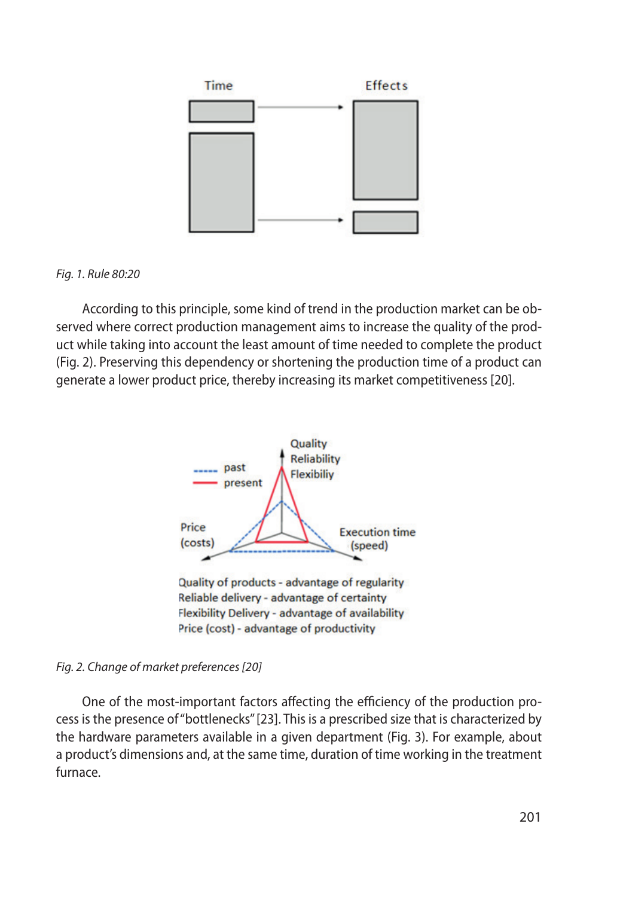

#### *Fig. 1. Rule 80:20*

According to this principle, some kind of trend in the production market can be observed where correct production management aims to increase the quality of the product while taking into account the least amount of time needed to complete the product (Fig. 2). Preserving this dependency or shortening the production time of a product can generate a lower product price, thereby increasing its market competitiveness [20].



#### *Fig. 2. Change of market preferences [20]*

One of the most-important factors affecting the efficiency of the production process is the presence of "bottlenecks" [23]. This is a prescribed size that is characterized by the hardware parameters available in a given department (Fig. 3). For example, about a product's dimensions and, at the same time, duration of time working in the treatment furnace.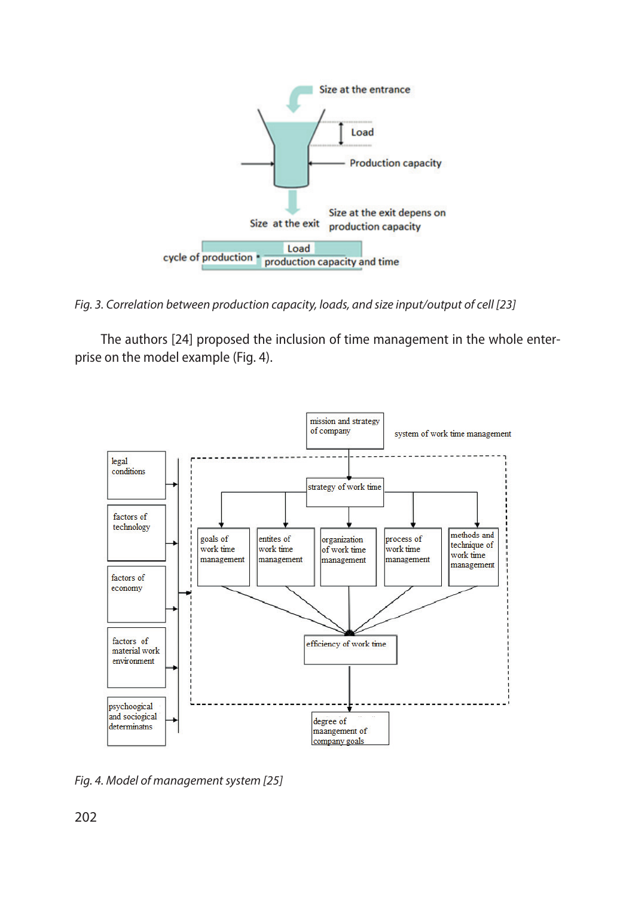

*Fig. 3. Correlation between production capacity, loads, and size input/output of cell [23]*

The authors [24] proposed the inclusion of time management in the whole enterprise on the model example (Fig. 4).



*Fig. 4. Model of management system [25]*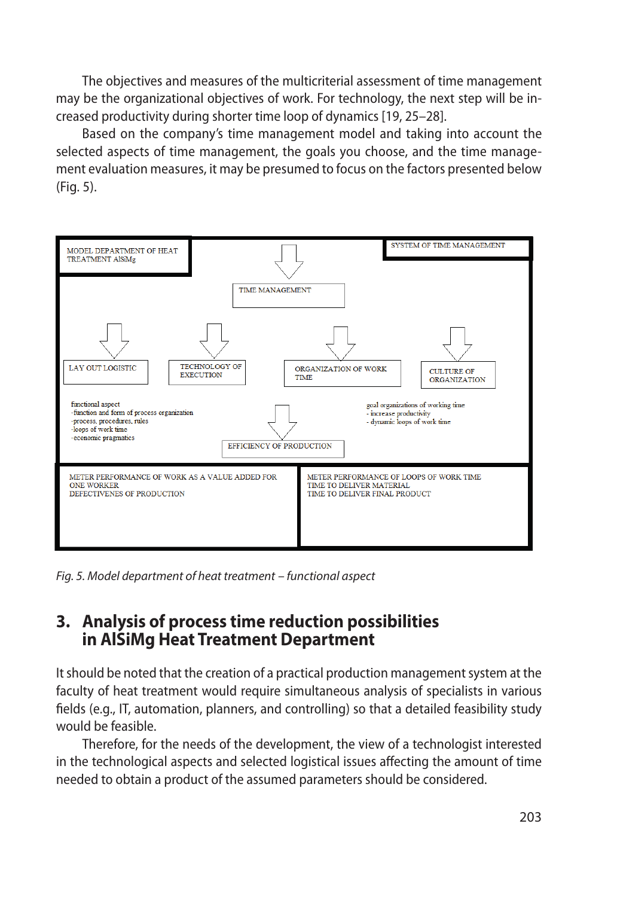The objectives and measures of the multicriterial assessment of time management may be the organizational objectives of work. For technology, the next step will be increased productivity during shorter time loop of dynamics [19, 25–28].

Based on the company's time management model and taking into account the selected aspects of time management, the goals you choose, and the time management evaluation measures, it may be presumed to focus on the factors presented below (Fig. 5).



*Fig. 5. Model department of heat treatment – functional aspect*

## **3. Analysis of process time reduction possibilities in AlSiMg Heat Treatment Department**

It should be noted that the creation of a practical production management system at the faculty of heat treatment would require simultaneous analysis of specialists in various fields (e.g., IT, automation, planners, and controlling) so that a detailed feasibility study would be feasible.

Therefore, for the needs of the development, the view of a technologist interested in the technological aspects and selected logistical issues affecting the amount of time needed to obtain a product of the assumed parameters should be considered.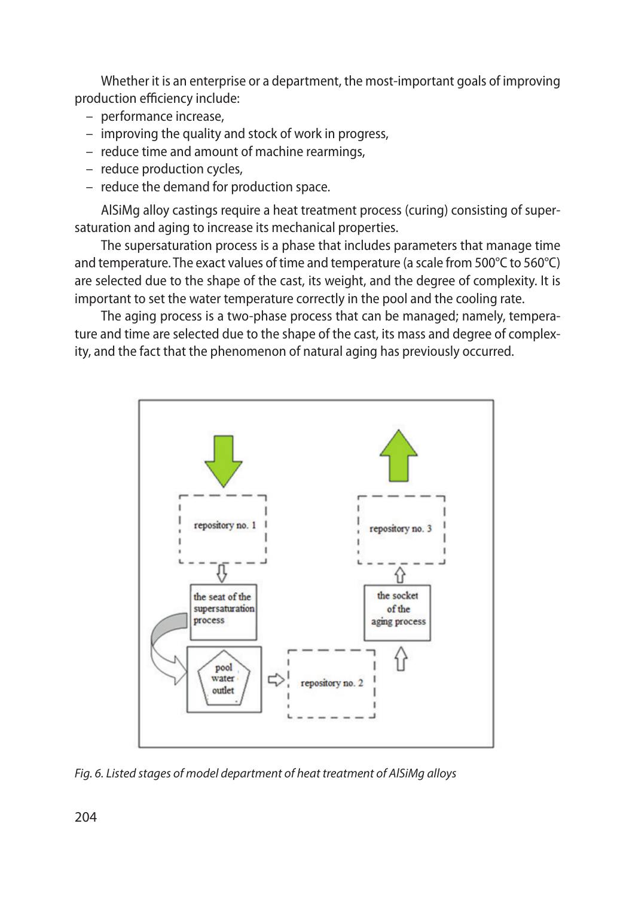Whether it is an enterprise or a department, the most-important goals of improving production efficiency include:

- performance increase,
- improving the quality and stock of work in progress,
- reduce time and amount of machine rearmings,
- reduce production cycles,
- reduce the demand for production space.

AlSiMg alloy castings require a heat treatment process (curing) consisting of supersaturation and aging to increase its mechanical properties.

The supersaturation process is a phase that includes parameters that manage time and temperature. The exact values of time and temperature (a scale from 500°C to 560°C) are selected due to the shape of the cast, its weight, and the degree of complexity. It is important to set the water temperature correctly in the pool and the cooling rate.

The aging process is a two-phase process that can be managed; namely, temperature and time are selected due to the shape of the cast, its mass and degree of complexity, and the fact that the phenomenon of natural aging has previously occurred.



*Fig. 6. Listed stages of model department of heat treatment of AlSiMg alloys*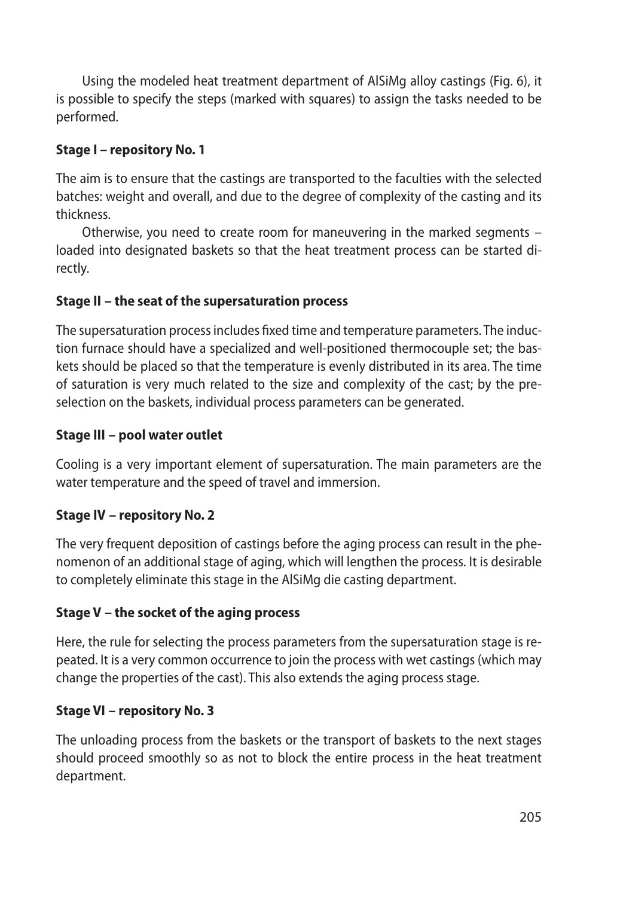Using the modeled heat treatment department of AlSiMg alloy castings (Fig. 6), it is possible to specify the steps (marked with squares) to assign the tasks needed to be performed.

### **Stage I – repository No. 1**

The aim is to ensure that the castings are transported to the faculties with the selected batches: weight and overall, and due to the degree of complexity of the casting and its thickness.

Otherwise, you need to create room for maneuvering in the marked segments – loaded into designated baskets so that the heat treatment process can be started directly.

### **Stage II – the seat of the supersaturation process**

The supersaturation process includes fixed time and temperature parameters. The induction furnace should have a specialized and well-positioned thermocouple set; the baskets should be placed so that the temperature is evenly distributed in its area. The time of saturation is very much related to the size and complexity of the cast; by the preselection on the baskets, individual process parameters can be generated.

#### **Stage III – pool water outlet**

Cooling is a very important element of supersaturation. The main parameters are the water temperature and the speed of travel and immersion.

### **Stage IV – repository No. 2**

The very frequent deposition of castings before the aging process can result in the phenomenon of an additional stage of aging, which will lengthen the process. It is desirable to completely eliminate this stage in the AlSiMg die casting department.

### **Stage V – the socket of the aging process**

Here, the rule for selecting the process parameters from the supersaturation stage is repeated. It is a very common occurrence to join the process with wet castings (which may change the properties of the cast). This also extends the aging process stage.

#### **Stage VI – repository No. 3**

The unloading process from the baskets or the transport of baskets to the next stages should proceed smoothly so as not to block the entire process in the heat treatment department.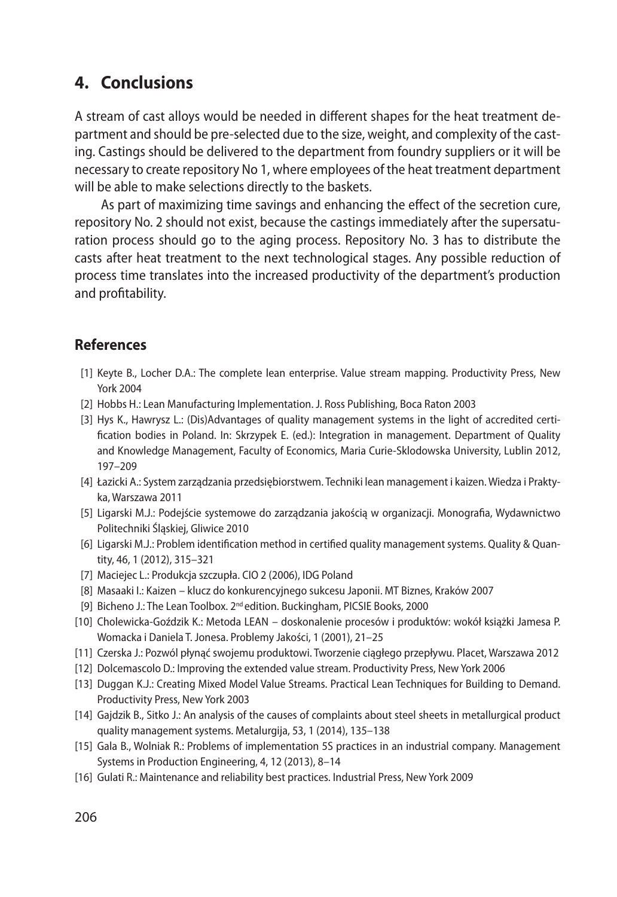## **4. Conclusions**

A stream of cast alloys would be needed in different shapes for the heat treatment department and should be pre-selected due to the size, weight, and complexity of the casting. Castings should be delivered to the department from foundry suppliers or it will be necessary to create repository No 1, where employees of the heat treatment department will be able to make selections directly to the baskets.

As part of maximizing time savings and enhancing the effect of the secretion cure, repository No. 2 should not exist, because the castings immediately after the supersaturation process should go to the aging process. Repository No. 3 has to distribute the casts after heat treatment to the next technological stages. Any possible reduction of process time translates into the increased productivity of the department's production and profitability.

## **References**

- [1] Keyte B., Locher D.A.: The complete lean enterprise. Value stream mapping. Productivity Press, New York 2004
- [2] Hobbs H.: Lean Manufacturing Implementation. J. Ross Publishing, Boca Raton 2003
- [3] Hys K., Hawrysz L.: (Dis)Advantages of quality management systems in the light of accredited certification bodies in Poland. In: Skrzypek E. (ed.): Integration in management. Department of Quality and Knowledge Management, Faculty of Economics, Maria Curie-Sklodowska University, Lublin 2012, 197–209
- [4] Łazicki A.: System zarządzania przedsiębiorstwem. Techniki lean management i kaizen. Wiedza i Praktyka, Warszawa 2011
- [5] Ligarski M.J.: Podejście systemowe do zarządzania jakością w organizacji. Monografia, Wydawnictwo Politechniki Śląskiej, Gliwice 2010
- [6] Ligarski M.J.: Problem identification method in certified quality management systems. Quality & Quantity, 46, 1 (2012), 315–321
- [7] Maciejec L.: Produkcja szczupła. CIO 2 (2006), IDG Poland
- [8] Masaaki I.: Kaizen klucz do konkurencyjnego sukcesu Japonii. MT Biznes, Kraków 2007
- [9] Bicheno J.: The Lean Toolbox. 2nd edition. Buckingham, PICSIE Books, 2000
- [10] Cholewicka-Goździk K.: Metoda LEAN doskonalenie procesów i produktów: wokół książki Jamesa P. Womacka i Daniela T. Jonesa. Problemy Jakości, 1 (2001), 21–25
- [11] Czerska J.: Pozwól płynąć swojemu produktowi. Tworzenie ciągłego przepływu. Placet, Warszawa 2012
- [12] Dolcemascolo D.: Improving the extended value stream. Productivity Press, New York 2006
- [13] Duggan K.J.: Creating Mixed Model Value Streams. Practical Lean Techniques for Building to Demand. Productivity Press, New York 2003
- [14] Gajdzik B., Sitko J.: An analysis of the causes of complaints about steel sheets in metallurgical product quality management systems. Metalurgija, 53, 1 (2014), 135–138
- [15] Gala B., Wolniak R.: Problems of implementation 5S practices in an industrial company. Management Systems in Production Engineering, 4, 12 (2013), 8–14
- [16] Gulati R.: Maintenance and reliability best practices. Industrial Press, New York 2009